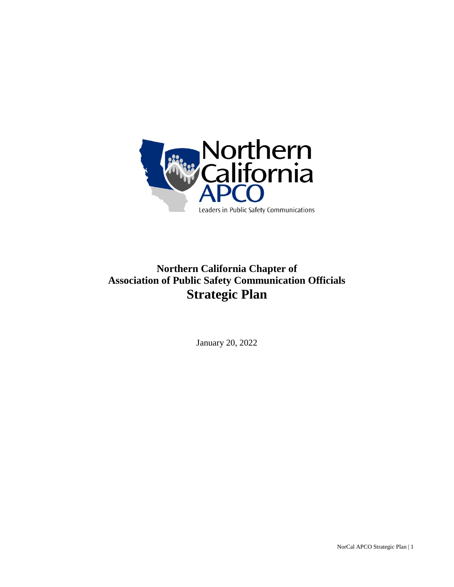

# **Northern California Chapter of Association of Public Safety Communication Officials Strategic Plan**

January 20, 2022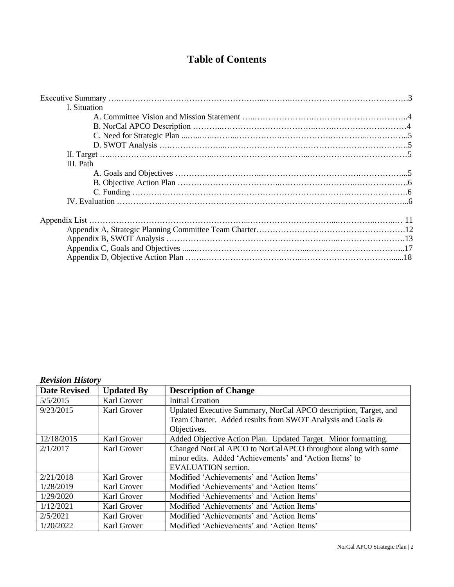# **Table of Contents**

| I. Situation |  |  |  |
|--------------|--|--|--|
|              |  |  |  |
|              |  |  |  |
|              |  |  |  |
|              |  |  |  |
|              |  |  |  |
| III. Path    |  |  |  |
|              |  |  |  |
|              |  |  |  |
|              |  |  |  |
|              |  |  |  |
|              |  |  |  |
|              |  |  |  |
|              |  |  |  |
|              |  |  |  |
|              |  |  |  |

### *Revision History*

| <b>Date Revised</b> | <b>Updated By</b> | <b>Description of Change</b>                                    |  |
|---------------------|-------------------|-----------------------------------------------------------------|--|
| 5/5/2015            | Karl Grover       | <b>Initial Creation</b>                                         |  |
| 9/23/2015           | Karl Grover       | Updated Executive Summary, NorCal APCO description, Target, and |  |
|                     |                   | Team Charter. Added results from SWOT Analysis and Goals &      |  |
|                     |                   | Objectives.                                                     |  |
| 12/18/2015          | Karl Grover       | Added Objective Action Plan. Updated Target. Minor formatting.  |  |
| 2/1/2017            | Karl Grover       | Changed NorCal APCO to NorCalAPCO throughout along with some    |  |
|                     |                   | minor edits. Added 'Achievements' and 'Action Items' to         |  |
|                     |                   | <b>EVALUATION</b> section.                                      |  |
| 2/21/2018           | Karl Grover       | Modified 'Achievements' and 'Action Items'                      |  |
| 1/28/2019           | Karl Grover       | Modified 'Achievements' and 'Action Items'                      |  |
| 1/29/2020           | Karl Grover       | Modified 'Achievements' and 'Action Items'                      |  |
| 1/12/2021           | Karl Grover       | Modified 'Achievements' and 'Action Items'                      |  |
| 2/5/2021            | Karl Grover       | Modified 'Achievements' and 'Action Items'                      |  |
| 1/20/2022           | Karl Grover       | Modified 'Achievements' and 'Action Items'                      |  |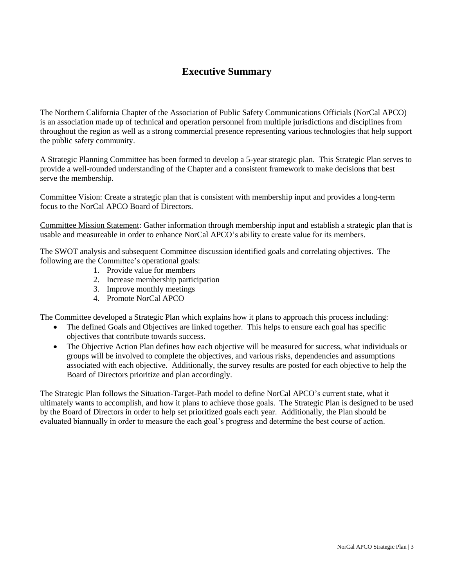# **Executive Summary**

The Northern California Chapter of the Association of Public Safety Communications Officials (NorCal APCO) is an association made up of technical and operation personnel from multiple jurisdictions and disciplines from throughout the region as well as a strong commercial presence representing various technologies that help support the public safety community.

A Strategic Planning Committee has been formed to develop a 5-year strategic plan. This Strategic Plan serves to provide a well-rounded understanding of the Chapter and a consistent framework to make decisions that best serve the membership.

Committee Vision: Create a strategic plan that is consistent with membership input and provides a long-term focus to the NorCal APCO Board of Directors.

Committee Mission Statement: Gather information through membership input and establish a strategic plan that is usable and measureable in order to enhance NorCal APCO's ability to create value for its members.

The SWOT analysis and subsequent Committee discussion identified goals and correlating objectives. The following are the Committee's operational goals:

- 1. Provide value for members
- 2. Increase membership participation
- 3. Improve monthly meetings
- 4. Promote NorCal APCO

The Committee developed a Strategic Plan which explains how it plans to approach this process including:

- The defined Goals and Objectives are linked together. This helps to ensure each goal has specific objectives that contribute towards success.
- The Objective Action Plan defines how each objective will be measured for success, what individuals or groups will be involved to complete the objectives, and various risks, dependencies and assumptions associated with each objective. Additionally, the survey results are posted for each objective to help the Board of Directors prioritize and plan accordingly.

The Strategic Plan follows the Situation-Target-Path model to define NorCal APCO's current state, what it ultimately wants to accomplish, and how it plans to achieve those goals. The Strategic Plan is designed to be used by the Board of Directors in order to help set prioritized goals each year. Additionally, the Plan should be evaluated biannually in order to measure the each goal's progress and determine the best course of action.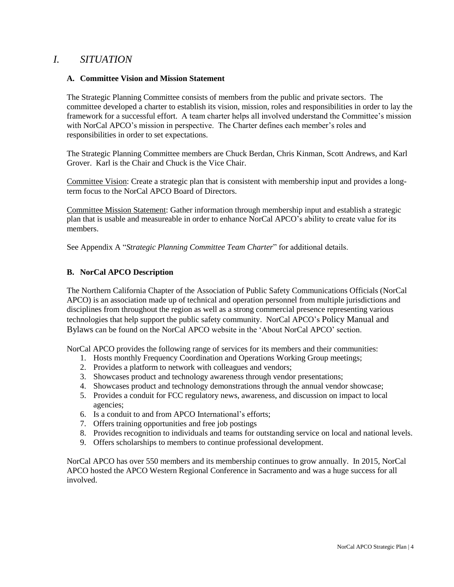# *I. SITUATION*

#### **A. Committee Vision and Mission Statement**

The Strategic Planning Committee consists of members from the public and private sectors. The committee developed a charter to establish its vision, mission, roles and responsibilities in order to lay the framework for a successful effort. A team charter helps all involved understand the Committee's mission with NorCal APCO's mission in perspective. The Charter defines each member's roles and responsibilities in order to set expectations.

The Strategic Planning Committee members are Chuck Berdan, Chris Kinman, Scott Andrews, and Karl Grover. Karl is the Chair and Chuck is the Vice Chair.

Committee Vision: Create a strategic plan that is consistent with membership input and provides a longterm focus to the NorCal APCO Board of Directors.

Committee Mission Statement: Gather information through membership input and establish a strategic plan that is usable and measureable in order to enhance NorCal APCO's ability to create value for its members.

See Appendix A "*Strategic Planning Committee Team Charter*" for additional details.

### **B. NorCal APCO Description**

The Northern California Chapter of the Association of Public Safety Communications Officials (NorCal APCO) is an association made up of technical and operation personnel from multiple jurisdictions and disciplines from throughout the region as well as a strong commercial presence representing various technologies that help support the public safety community. NorCal APCO's Policy Manual and Bylaws can be found on the NorCal APCO website in the 'About NorCal APCO' section.

NorCal APCO provides the following range of services for its members and their communities:

- 1. Hosts monthly Frequency Coordination and Operations Working Group meetings;
- 2. Provides a platform to network with colleagues and vendors;
- 3. Showcases product and technology awareness through vendor presentations;
- 4. Showcases product and technology demonstrations through the annual vendor showcase;
- 5. Provides a conduit for FCC regulatory news, awareness, and discussion on impact to local agencies;
- 6. Is a conduit to and from APCO International's efforts;
- 7. Offers training opportunities and free job postings
- 8. Provides recognition to individuals and teams for outstanding service on local and national levels.
- 9. Offers scholarships to members to continue professional development.

NorCal APCO has over 550 members and its membership continues to grow annually. In 2015, NorCal APCO hosted the APCO Western Regional Conference in Sacramento and was a huge success for all involved.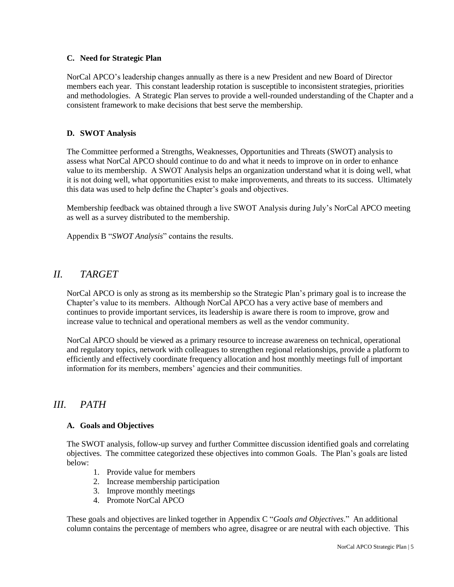#### **C. Need for Strategic Plan**

NorCal APCO's leadership changes annually as there is a new President and new Board of Director members each year. This constant leadership rotation is susceptible to inconsistent strategies, priorities and methodologies. A Strategic Plan serves to provide a well-rounded understanding of the Chapter and a consistent framework to make decisions that best serve the membership.

### **D. SWOT Analysis**

The Committee performed a Strengths, Weaknesses, Opportunities and Threats (SWOT) analysis to assess what NorCal APCO should continue to do and what it needs to improve on in order to enhance value to its membership. A SWOT Analysis helps an organization understand what it is doing well, what it is not doing well, what opportunities exist to make improvements, and threats to its success. Ultimately this data was used to help define the Chapter's goals and objectives.

Membership feedback was obtained through a live SWOT Analysis during July's NorCal APCO meeting as well as a survey distributed to the membership.

Appendix B "*SWOT Analysis*" contains the results.

# *II. TARGET*

NorCal APCO is only as strong as its membership so the Strategic Plan's primary goal is to increase the Chapter's value to its members. Although NorCal APCO has a very active base of members and continues to provide important services, its leadership is aware there is room to improve, grow and increase value to technical and operational members as well as the vendor community.

NorCal APCO should be viewed as a primary resource to increase awareness on technical, operational and regulatory topics, network with colleagues to strengthen regional relationships, provide a platform to efficiently and effectively coordinate frequency allocation and host monthly meetings full of important information for its members, members' agencies and their communities.

# *III. PATH*

### **A. Goals and Objectives**

The SWOT analysis, follow-up survey and further Committee discussion identified goals and correlating objectives. The committee categorized these objectives into common Goals. The Plan's goals are listed below:

- 1. Provide value for members
- 2. Increase membership participation
- 3. Improve monthly meetings
- 4. Promote NorCal APCO

These goals and objectives are linked together in Appendix C "*Goals and Objectives*." An additional column contains the percentage of members who agree, disagree or are neutral with each objective. This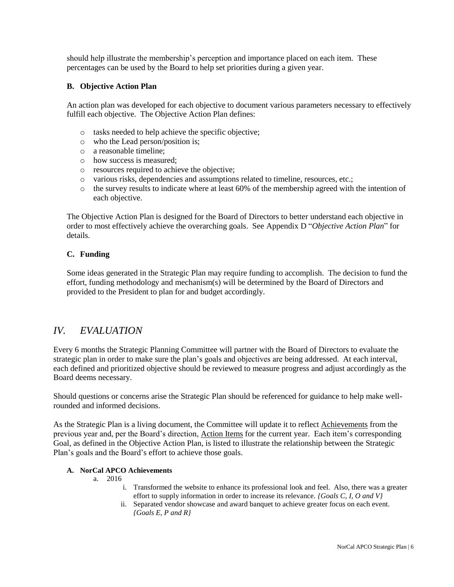should help illustrate the membership's perception and importance placed on each item. These percentages can be used by the Board to help set priorities during a given year.

### **B. Objective Action Plan**

An action plan was developed for each objective to document various parameters necessary to effectively fulfill each objective. The Objective Action Plan defines:

- o tasks needed to help achieve the specific objective;
- o who the Lead person/position is;
- o a reasonable timeline;
- o how success is measured;
- o resources required to achieve the objective;
- o various risks, dependencies and assumptions related to timeline, resources, etc.;
- o the survey results to indicate where at least 60% of the membership agreed with the intention of each objective.

The Objective Action Plan is designed for the Board of Directors to better understand each objective in order to most effectively achieve the overarching goals. See Appendix D "*Objective Action Plan*" for details.

### **C. Funding**

Some ideas generated in the Strategic Plan may require funding to accomplish. The decision to fund the effort, funding methodology and mechanism(s) will be determined by the Board of Directors and provided to the President to plan for and budget accordingly.

# *IV. EVALUATION*

Every 6 months the Strategic Planning Committee will partner with the Board of Directors to evaluate the strategic plan in order to make sure the plan's goals and objectives are being addressed. At each interval, each defined and prioritized objective should be reviewed to measure progress and adjust accordingly as the Board deems necessary.

Should questions or concerns arise the Strategic Plan should be referenced for guidance to help make wellrounded and informed decisions.

As the Strategic Plan is a living document, the Committee will update it to reflect Achievements from the previous year and, per the Board's direction, Action Items for the current year. Each item's corresponding Goal, as defined in the Objective Action Plan, is listed to illustrate the relationship between the Strategic Plan's goals and the Board's effort to achieve those goals.

### **A. NorCal APCO Achievements**

- a. 2016
	- i. Transformed the website to enhance its professional look and feel. Also, there was a greater effort to supply information in order to increase its relevance. *{Goals C, I, O and V}*
	- ii. Separated vendor showcase and award banquet to achieve greater focus on each event. *{Goals E, P and R}*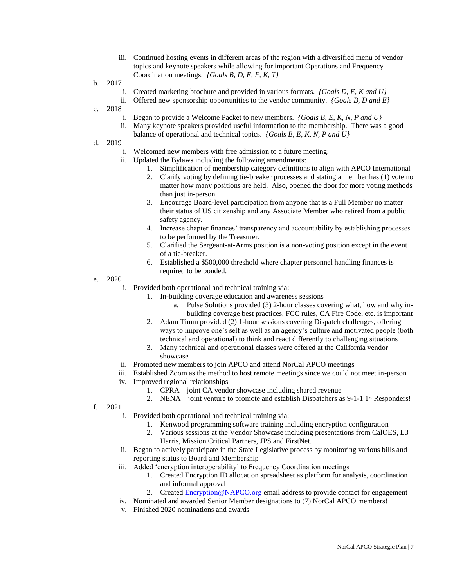- iii. Continued hosting events in different areas of the region with a diversified menu of vendor topics and keynote speakers while allowing for important Operations and Frequency Coordination meetings. *{Goals B, D, E, F, K, T}*
- b. 2017
	- i. Created marketing brochure and provided in various formats. *{Goals D, E, K and U}*
	- ii. Offered new sponsorship opportunities to the vendor community. *{Goals B, D and E}*
- c. 2018
	- i. Began to provide a Welcome Packet to new members. *{Goals B, E, K, N, P and U}*
	- ii. Many keynote speakers provided useful information to the membership. There was a good
	- balance of operational and technical topics. *{Goals B, E, K, N, P and U}*
- d. 2019
	- i. Welcomed new members with free admission to a future meeting.
	- ii. Updated the Bylaws including the following amendments:
		- 1. Simplification of membership category definitions to align with APCO International
		- 2. Clarify voting by defining tie-breaker processes and stating a member has (1) vote no matter how many positions are held. Also, opened the door for more voting methods than just in-person.
		- 3. Encourage Board-level participation from anyone that is a Full Member no matter their status of US citizenship and any Associate Member who retired from a public safety agency.
		- 4. Increase chapter finances' transparency and accountability by establishing processes to be performed by the Treasurer.
		- 5. Clarified the Sergeant-at-Arms position is a non-voting position except in the event of a tie-breaker.
		- 6. Established a \$500,000 threshold where chapter personnel handling finances is required to be bonded.
- e. 2020
	- i. Provided both operational and technical training via:
		- 1. In-building coverage education and awareness sessions
			- a. Pulse Solutions provided (3) 2-hour classes covering what, how and why inbuilding coverage best practices, FCC rules, CA Fire Code, etc. is important
		- 2. Adam Timm provided (2) 1-hour sessions covering Dispatch challenges, offering ways to improve one's self as well as an agency's culture and motivated people (both technical and operational) to think and react differently to challenging situations
		- 3. Many technical and operational classes were offered at the California vendor showcase
	- ii. Promoted new members to join APCO and attend NorCal APCO meetings
	- iii. Established Zoom as the method to host remote meetings since we could not meet in-person
	- iv. Improved regional relationships
		- 1. CPRA joint CA vendor showcase including shared revenue
		- 2. NENA joint venture to promote and establish Dispatchers as 9-1-1 1<sup>st</sup> Responders!
- f. 2021
	- i. Provided both operational and technical training via:
		- 1. Kenwood programming software training including encryption configuration
		- 2. Various sessions at the Vendor Showcase including presentations from CalOES, L3 Harris, Mission Critical Partners, JPS and FirstNet.
	- ii. Began to actively participate in the State Legislative process by monitoring various bills and reporting status to Board and Membership
	- iii. Added 'encryption interoperability' to Frequency Coordination meetings
		- 1. Created Encryption ID allocation spreadsheet as platform for analysis, coordination and informal approval
		- 2. Created **Encryption@NAPCO.org** email address to provide contact for engagement
	- iv. Nominated and awarded Senior Member designations to (7) NorCal APCO members!
	- v. Finished 2020 nominations and awards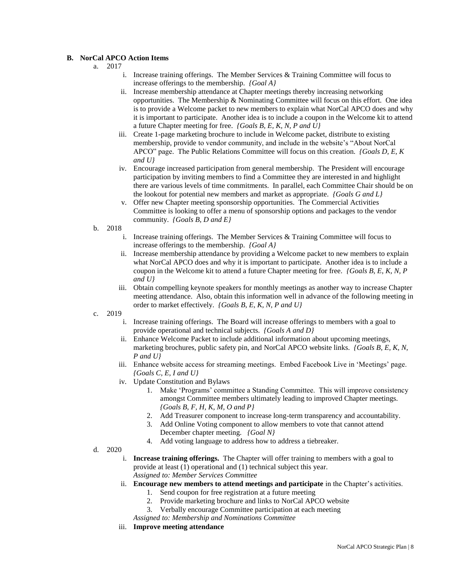#### **B. NorCal APCO Action Items**

- a. 2017
	- i. Increase training offerings. The Member Services  $\&$  Training Committee will focus to increase offerings to the membership. *{Goal A}*
	- ii. Increase membership attendance at Chapter meetings thereby increasing networking opportunities. The Membership  $\&$  Nominating Committee will focus on this effort. One idea is to provide a Welcome packet to new members to explain what NorCal APCO does and why it is important to participate. Another idea is to include a coupon in the Welcome kit to attend a future Chapter meeting for free. *{Goals B, E, K, N, P and U}*
	- iii. Create 1-page marketing brochure to include in Welcome packet, distribute to existing membership, provide to vendor community, and include in the website's "About NorCal APCO" page. The Public Relations Committee will focus on this creation. *{Goals D, E, K and U}*
	- iv. Encourage increased participation from general membership. The President will encourage participation by inviting members to find a Committee they are interested in and highlight there are various levels of time commitments. In parallel, each Committee Chair should be on the lookout for potential new members and market as appropriate. *{Goals G and L}*
	- v. Offer new Chapter meeting sponsorship opportunities. The Commercial Activities Committee is looking to offer a menu of sponsorship options and packages to the vendor community. *{Goals B, D and E}*
- b. 2018
	- i. Increase training offerings. The Member Services & Training Committee will focus to increase offerings to the membership. *{Goal A}*
	- ii. Increase membership attendance by providing a Welcome packet to new members to explain what NorCal APCO does and why it is important to participate. Another idea is to include a coupon in the Welcome kit to attend a future Chapter meeting for free. *{Goals B, E, K, N, P and U}*
	- iii. Obtain compelling keynote speakers for monthly meetings as another way to increase Chapter meeting attendance. Also, obtain this information well in advance of the following meeting in order to market effectively. *{Goals B, E, K, N, P and U}*
- c. 2019
	- i. Increase training offerings. The Board will increase offerings to members with a goal to provide operational and technical subjects. *{Goals A and D}*
	- ii. Enhance Welcome Packet to include additional information about upcoming meetings, marketing brochures, public safety pin, and NorCal APCO website links. *{Goals B, E, K, N, P and U}*
	- iii. Enhance website access for streaming meetings. Embed Facebook Live in 'Meetings' page. *{Goals C, E, I and U}*
	- iv. Update Constitution and Bylaws
		- 1. Make 'Programs' committee a Standing Committee. This will improve consistency amongst Committee members ultimately leading to improved Chapter meetings. *{Goals B, F, H, K, M, O and P}*
		- 2. Add Treasurer component to increase long-term transparency and accountability.
		- 3. Add Online Voting component to allow members to vote that cannot attend December chapter meeting. *{Goal N}*
		- 4. Add voting language to address how to address a tiebreaker.
- d. 2020
	- i. **Increase training offerings.** The Chapter will offer training to members with a goal to provide at least (1) operational and (1) technical subject this year. *Assigned to: Member Services Committee*
	- ii. **Encourage new members to attend meetings and participate** in the Chapter's activities.
		- 1. Send coupon for free registration at a future meeting
		- 2. Provide marketing brochure and links to NorCal APCO website
		- 3. Verbally encourage Committee participation at each meeting

*Assigned to: Membership and Nominations Committee*

iii. **Improve meeting attendance**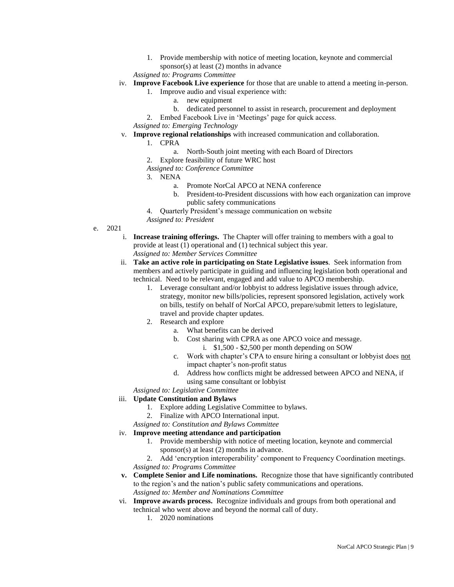1. Provide membership with notice of meeting location, keynote and commercial sponsor(s) at least (2) months in advance

*Assigned to: Programs Committee*

- iv. **Improve Facebook Live experience** for those that are unable to attend a meeting in-person.
	- 1. Improve audio and visual experience with:
		- a. new equipment
		- b. dedicated personnel to assist in research, procurement and deployment
	- 2. Embed Facebook Live in 'Meetings' page for quick access.

*Assigned to: Emerging Technology*

v. **Improve regional relationships** with increased communication and collaboration.

1. CPRA

- a. North-South joint meeting with each Board of Directors
- 2. Explore feasibility of future WRC host
- *Assigned to: Conference Committee*
- 3. NENA
	- a. Promote NorCal APCO at NENA conference
	- b. President-to-President discussions with how each organization can improve public safety communications
	- 4. Quarterly President's message communication on website
- *Assigned to: President*
- e. 2021
	- i. **Increase training offerings.** The Chapter will offer training to members with a goal to provide at least (1) operational and (1) technical subject this year. *Assigned to: Member Services Committee*
	- ii. **Take an active role in participating on State Legislative issues**. Seek information from
		- members and actively participate in guiding and influencing legislation both operational and technical. Need to be relevant, engaged and add value to APCO membership.
			- 1. Leverage consultant and/or lobbyist to address legislative issues through advice, strategy, monitor new bills/policies, represent sponsored legislation, actively work on bills, testify on behalf of NorCal APCO, prepare/submit letters to legislature, travel and provide chapter updates.
			- 2. Research and explore
				- a. What benefits can be derived
				- b. Cost sharing with CPRA as one APCO voice and message.
					- i. \$1,500 \$2,500 per month depending on SOW
				- c. Work with chapter's CPA to ensure hiring a consultant or lobbyist does not impact chapter's non-profit status
				- d. Address how conflicts might be addressed between APCO and NENA, if using same consultant or lobbyist

*Assigned to: Legislative Committee*

#### iii. **Update Constitution and Bylaws**

- 1. Explore adding Legislative Committee to bylaws.
- 2. Finalize with APCO International input.
- *Assigned to: Constitution and Bylaws Committee*
- iv. **Improve meeting attendance and participation**
	- 1. Provide membership with notice of meeting location, keynote and commercial sponsor(s) at least (2) months in advance.
	- 2. Add 'encryption interoperability' component to Frequency Coordination meetings. *Assigned to: Programs Committee*
- **v. Complete Senior and Life nominations.** Recognize those that have significantly contributed to the region's and the nation's public safety communications and operations. *Assigned to: Member and Nominations Committee*
- vi. **Improve awards process.** Recognize individuals and groups from both operational and technical who went above and beyond the normal call of duty.
	- 1. 2020 nominations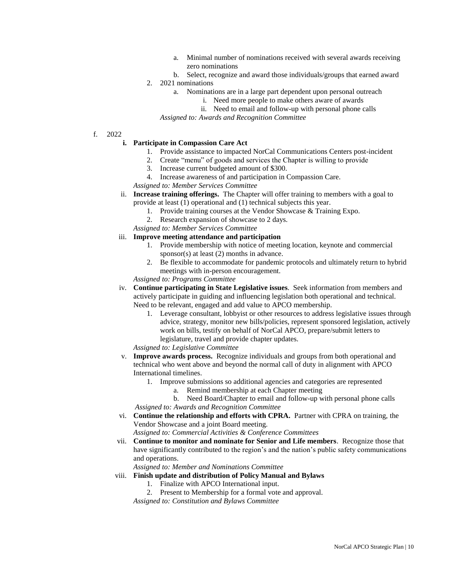- a. Minimal number of nominations received with several awards receiving zero nominations
- b. Select, recognize and award those individuals/groups that earned award 2. 2021 nominations
	- a. Nominations are in a large part dependent upon personal outreach
		- i. Need more people to make others aware of awards
		- ii. Need to email and follow-up with personal phone calls

*Assigned to: Awards and Recognition Committee*

f. 2022

**i. Participate in Compassion Care Act**

- 1. Provide assistance to impacted NorCal Communications Centers post-incident
- 2. Create "menu" of goods and services the Chapter is willing to provide
- 3. Increase current budgeted amount of \$300.
- 4. Increase awareness of and participation in Compassion Care.
- *Assigned to: Member Services Committee*
- ii. **Increase training offerings.** The Chapter will offer training to members with a goal to provide at least (1) operational and (1) technical subjects this year.
	- 1. Provide training courses at the Vendor Showcase & Training Expo.
	- 2. Research expansion of showcase to 2 days.
	- *Assigned to: Member Services Committee*

#### iii. **Improve meeting attendance and participation**

- 1. Provide membership with notice of meeting location, keynote and commercial sponsor(s) at least (2) months in advance.
- 2. Be flexible to accommodate for pandemic protocols and ultimately return to hybrid meetings with in-person encouragement.

*Assigned to: Programs Committee*

- iv. **Continue participating in State Legislative issues**. Seek information from members and actively participate in guiding and influencing legislation both operational and technical. Need to be relevant, engaged and add value to APCO membership.
	- 1. Leverage consultant, lobbyist or other resources to address legislative issues through advice, strategy, monitor new bills/policies, represent sponsored legislation, actively work on bills, testify on behalf of NorCal APCO, prepare/submit letters to legislature, travel and provide chapter updates.

*Assigned to: Legislative Committee*

- v. **Improve awards process.** Recognize individuals and groups from both operational and technical who went above and beyond the normal call of duty in alignment with APCO International timelines.
	- 1. Improve submissions so additional agencies and categories are represented
		- a. Remind membership at each Chapter meeting

b. Need Board/Chapter to email and follow-up with personal phone calls *Assigned to: Awards and Recognition Committee*

vi. **Continue the relationship and efforts with CPRA.** Partner with CPRA on training, the Vendor Showcase and a joint Board meeting.

*Assigned to: Commercial Activities & Conference Committees*

vii. **Continue to monitor and nominate for Senior and Life members**. Recognize those that have significantly contributed to the region's and the nation's public safety communications and operations.

*Assigned to: Member and Nominations Committee*

viii. **Finish update and distribution of Policy Manual and Bylaws**

- 1. Finalize with APCO International input.
- 2. Present to Membership for a formal vote and approval.

*Assigned to: Constitution and Bylaws Committee*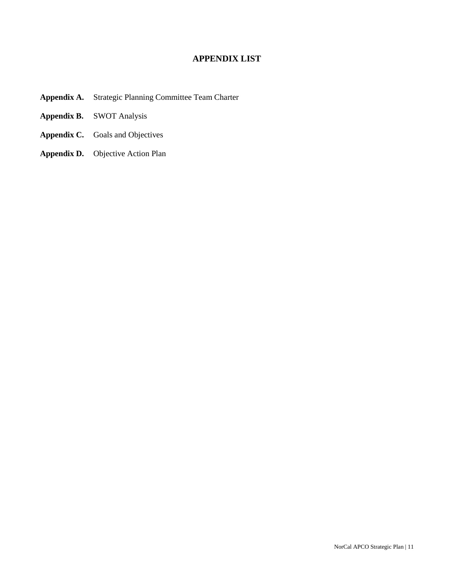# **APPENDIX LIST**

- **Appendix A.** Strategic Planning Committee Team Charter
- **Appendix B.** SWOT Analysis
- **Appendix C.** Goals and Objectives
- **Appendix D.** Objective Action Plan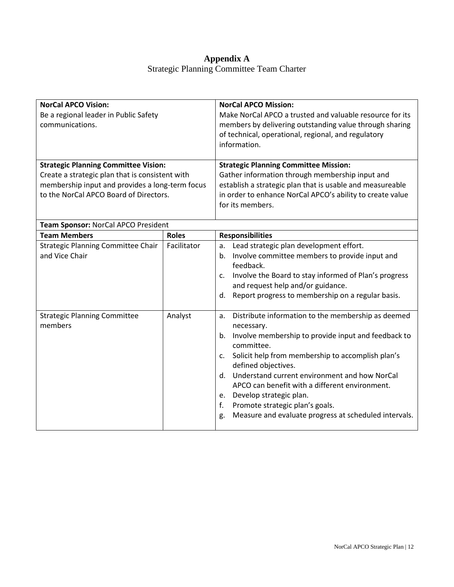## **Appendix A** Strategic Planning Committee Team Charter

| <b>NorCal APCO Vision:</b><br>Be a regional leader in Public Safety<br>communications.                                                                                                      |              | <b>NorCal APCO Mission:</b><br>Make NorCal APCO a trusted and valuable resource for its<br>members by delivering outstanding value through sharing<br>of technical, operational, regional, and regulatory<br>information.                                                                                                                                                                                                                                                          |  |
|---------------------------------------------------------------------------------------------------------------------------------------------------------------------------------------------|--------------|------------------------------------------------------------------------------------------------------------------------------------------------------------------------------------------------------------------------------------------------------------------------------------------------------------------------------------------------------------------------------------------------------------------------------------------------------------------------------------|--|
| <b>Strategic Planning Committee Vision:</b><br>Create a strategic plan that is consistent with<br>membership input and provides a long-term focus<br>to the NorCal APCO Board of Directors. |              | <b>Strategic Planning Committee Mission:</b><br>Gather information through membership input and<br>establish a strategic plan that is usable and measureable<br>in order to enhance NorCal APCO's ability to create value<br>for its members.                                                                                                                                                                                                                                      |  |
| Team Sponsor: NorCal APCO President                                                                                                                                                         |              |                                                                                                                                                                                                                                                                                                                                                                                                                                                                                    |  |
| <b>Team Members</b>                                                                                                                                                                         | <b>Roles</b> | <b>Responsibilities</b>                                                                                                                                                                                                                                                                                                                                                                                                                                                            |  |
| <b>Strategic Planning Committee Chair</b><br>and Vice Chair                                                                                                                                 | Facilitator  | Lead strategic plan development effort.<br>a.<br>Involve committee members to provide input and<br>b.<br>feedback.<br>Involve the Board to stay informed of Plan's progress<br>c.<br>and request help and/or guidance.<br>Report progress to membership on a regular basis.<br>d.                                                                                                                                                                                                  |  |
| <b>Strategic Planning Committee</b><br>members                                                                                                                                              | Analyst      | Distribute information to the membership as deemed<br>a.<br>necessary.<br>Involve membership to provide input and feedback to<br>b.<br>committee.<br>Solicit help from membership to accomplish plan's<br>c.<br>defined objectives.<br>d. Understand current environment and how NorCal<br>APCO can benefit with a different environment.<br>Develop strategic plan.<br>е.<br>f.<br>Promote strategic plan's goals.<br>Measure and evaluate progress at scheduled intervals.<br>g. |  |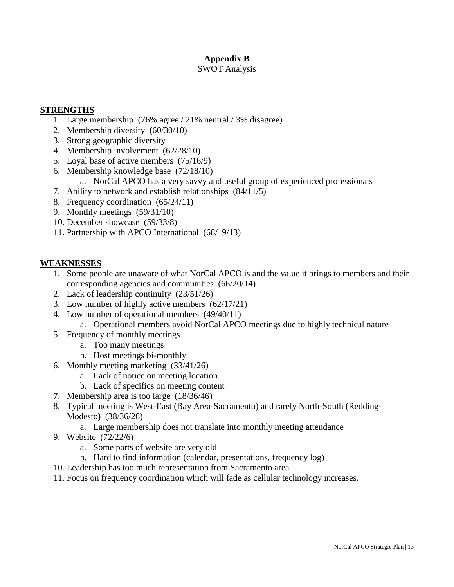# **Appendix B**

### SWOT Analysis

### **STRENGTHS**

- 1. Large membership (76% agree / 21% neutral / 3% disagree)
- 2. Membership diversity (60/30/10)
- 3. Strong geographic diversity
- 4. Membership involvement (62/28/10)
- 5. Loyal base of active members (75/16/9)
- 6. Membership knowledge base (72/18/10)
	- a. NorCal APCO has a very savvy and useful group of experienced professionals
- 7. Ability to network and establish relationships (84/11/5)
- 8. Frequency coordination (65/24/11)
- 9. Monthly meetings (59/31/10)
- 10. December showcase (59/33/8)
- 11. Partnership with APCO International (68/19/13)

# **WEAKNESSES**

- 1. Some people are unaware of what NorCal APCO is and the value it brings to members and their corresponding agencies and communities (66/20/14)
- 2. Lack of leadership continuity (23/51/26)
- 3. Low number of highly active members (62/17/21)
- 4. Low number of operational members (49/40/11)
	- a. Operational members avoid NorCal APCO meetings due to highly technical nature
- 5. Frequency of monthly meetings
	- a. Too many meetings
	- b. Host meetings bi-monthly
- 6. Monthly meeting marketing (33/41/26)
	- a. Lack of notice on meeting location
	- b. Lack of specifics on meeting content
- 7. Membership area is too large (18/36/46)
- 8. Typical meeting is West-East (Bay Area-Sacramento) and rarely North-South (Redding-Modesto) (38/36/26)

a. Large membership does not translate into monthly meeting attendance

- 9. Website (72/22/6)
	- a. Some parts of website are very old
	- b. Hard to find information (calendar, presentations, frequency log)
- 10. Leadership has too much representation from Sacramento area
- 11. Focus on frequency coordination which will fade as cellular technology increases.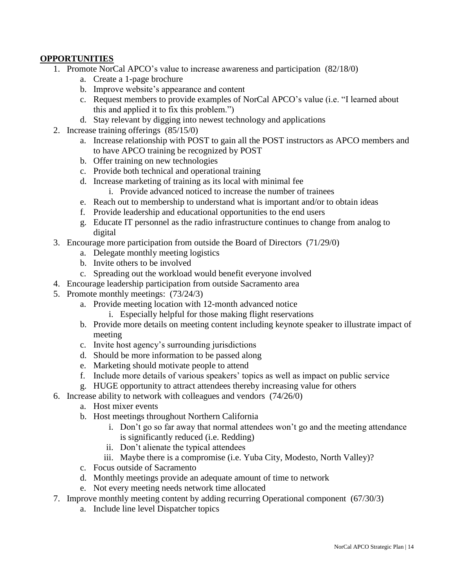### **OPPORTUNITIES**

- 1. Promote NorCal APCO's value to increase awareness and participation (82/18/0)
	- a. Create a 1-page brochure
	- b. Improve website's appearance and content
	- c. Request members to provide examples of NorCal APCO's value (i.e. "I learned about this and applied it to fix this problem.")
	- d. Stay relevant by digging into newest technology and applications
- 2. Increase training offerings (85/15/0)
	- a. Increase relationship with POST to gain all the POST instructors as APCO members and to have APCO training be recognized by POST
	- b. Offer training on new technologies
	- c. Provide both technical and operational training
	- d. Increase marketing of training as its local with minimal fee
		- i. Provide advanced noticed to increase the number of trainees
	- e. Reach out to membership to understand what is important and/or to obtain ideas
	- f. Provide leadership and educational opportunities to the end users
	- g. Educate IT personnel as the radio infrastructure continues to change from analog to digital
- 3. Encourage more participation from outside the Board of Directors (71/29/0)
	- a. Delegate monthly meeting logistics
		- b. Invite others to be involved
		- c. Spreading out the workload would benefit everyone involved
- 4. Encourage leadership participation from outside Sacramento area
- 5. Promote monthly meetings: (73/24/3)
	- a. Provide meeting location with 12-month advanced notice
		- i. Especially helpful for those making flight reservations
	- b. Provide more details on meeting content including keynote speaker to illustrate impact of meeting
	- c. Invite host agency's surrounding jurisdictions
	- d. Should be more information to be passed along
	- e. Marketing should motivate people to attend
	- f. Include more details of various speakers' topics as well as impact on public service
	- g. HUGE opportunity to attract attendees thereby increasing value for others
- 6. Increase ability to network with colleagues and vendors (74/26/0)
	- a. Host mixer events
	- b. Host meetings throughout Northern California
		- i. Don't go so far away that normal attendees won't go and the meeting attendance is significantly reduced (i.e. Redding)
		- ii. Don't alienate the typical attendees
		- iii. Maybe there is a compromise (i.e. Yuba City, Modesto, North Valley)?
	- c. Focus outside of Sacramento
	- d. Monthly meetings provide an adequate amount of time to network
	- e. Not every meeting needs network time allocated
- 7. Improve monthly meeting content by adding recurring Operational component (67/30/3)
	- a. Include line level Dispatcher topics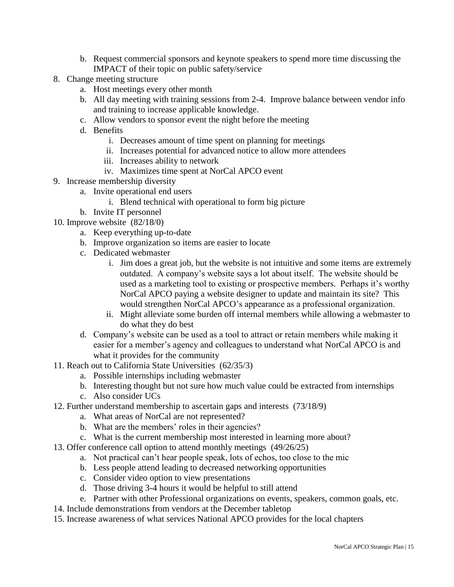- b. Request commercial sponsors and keynote speakers to spend more time discussing the IMPACT of their topic on public safety/service
- 8. Change meeting structure
	- a. Host meetings every other month
	- b. All day meeting with training sessions from 2-4. Improve balance between vendor info and training to increase applicable knowledge.
	- c. Allow vendors to sponsor event the night before the meeting
	- d. Benefits
		- i. Decreases amount of time spent on planning for meetings
		- ii. Increases potential for advanced notice to allow more attendees
		- iii. Increases ability to network
		- iv. Maximizes time spent at NorCal APCO event
- 9. Increase membership diversity
	- a. Invite operational end users
		- i. Blend technical with operational to form big picture
	- b. Invite IT personnel
- 10. Improve website (82/18/0)
	- a. Keep everything up-to-date
	- b. Improve organization so items are easier to locate
	- c. Dedicated webmaster
		- i. Jim does a great job, but the website is not intuitive and some items are extremely outdated. A company's website says a lot about itself. The website should be used as a marketing tool to existing or prospective members. Perhaps it's worthy NorCal APCO paying a website designer to update and maintain its site? This would strengthen NorCal APCO's appearance as a professional organization.
		- ii. Might alleviate some burden off internal members while allowing a webmaster to do what they do best
	- d. Company's website can be used as a tool to attract or retain members while making it easier for a member's agency and colleagues to understand what NorCal APCO is and what it provides for the community
- 11. Reach out to California State Universities (62/35/3)
	- a. Possible internships including webmaster
	- b. Interesting thought but not sure how much value could be extracted from internships
	- c. Also consider UCs
- 12. Further understand membership to ascertain gaps and interests (73/18/9)
	- a. What areas of NorCal are not represented?
	- b. What are the members' roles in their agencies?
	- c. What is the current membership most interested in learning more about?
- 13. Offer conference call option to attend monthly meetings (49/26/25)
	- a. Not practical can't hear people speak, lots of echos, too close to the mic
	- b. Less people attend leading to decreased networking opportunities
	- c. Consider video option to view presentations
	- d. Those driving 3-4 hours it would be helpful to still attend
	- e. Partner with other Professional organizations on events, speakers, common goals, etc.
- 14. Include demonstrations from vendors at the December tabletop
- 15. Increase awareness of what services National APCO provides for the local chapters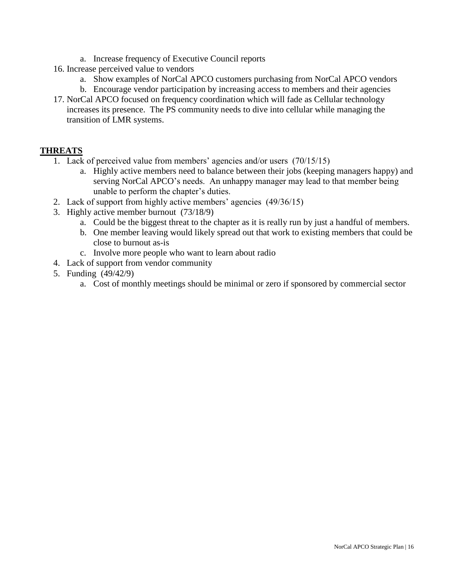- a. Increase frequency of Executive Council reports
- 16. Increase perceived value to vendors
	- a. Show examples of NorCal APCO customers purchasing from NorCal APCO vendors
	- b. Encourage vendor participation by increasing access to members and their agencies
- 17. NorCal APCO focused on frequency coordination which will fade as Cellular technology increases its presence. The PS community needs to dive into cellular while managing the transition of LMR systems.

# **THREATS**

- 1. Lack of perceived value from members' agencies and/or users (70/15/15)
	- a. Highly active members need to balance between their jobs (keeping managers happy) and serving NorCal APCO's needs. An unhappy manager may lead to that member being unable to perform the chapter's duties.
- 2. Lack of support from highly active members' agencies (49/36/15)
- 3. Highly active member burnout (73/18/9)
	- a. Could be the biggest threat to the chapter as it is really run by just a handful of members.
	- b. One member leaving would likely spread out that work to existing members that could be close to burnout as-is
	- c. Involve more people who want to learn about radio
- 4. Lack of support from vendor community
- 5. Funding (49/42/9)
	- a. Cost of monthly meetings should be minimal or zero if sponsored by commercial sector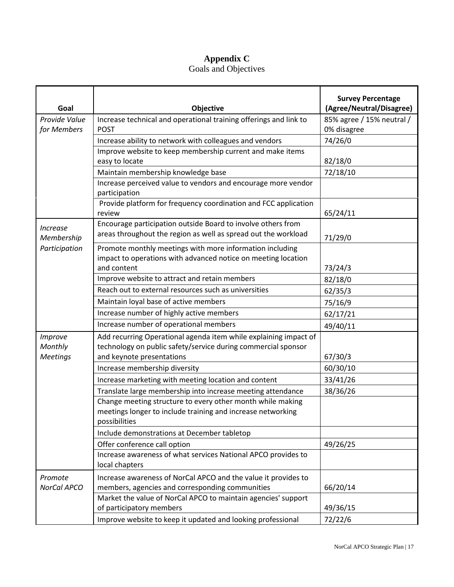# **Appendix C**

### Goals and Objectives

| Goal                                                         | Objective                                                                                                                                                      | <b>Survey Percentage</b><br>(Agree/Neutral/Disagree) |
|--------------------------------------------------------------|----------------------------------------------------------------------------------------------------------------------------------------------------------------|------------------------------------------------------|
| Provide Value                                                | Increase technical and operational training offerings and link to                                                                                              | 85% agree / 15% neutral /                            |
| for Members                                                  | <b>POST</b>                                                                                                                                                    | 0% disagree                                          |
|                                                              | Increase ability to network with colleagues and vendors                                                                                                        | 74/26/0                                              |
|                                                              | Improve website to keep membership current and make items                                                                                                      |                                                      |
|                                                              | easy to locate                                                                                                                                                 | 82/18/0                                              |
|                                                              | Maintain membership knowledge base                                                                                                                             | 72/18/10                                             |
|                                                              | Increase perceived value to vendors and encourage more vendor<br>participation                                                                                 |                                                      |
|                                                              | Provide platform for frequency coordination and FCC application<br>review                                                                                      | 65/24/11                                             |
| <i><u><b>Increase</b></u></i><br>Membership<br>Participation | Encourage participation outside Board to involve others from<br>areas throughout the region as well as spread out the workload                                 | 71/29/0                                              |
|                                                              | Promote monthly meetings with more information including<br>impact to operations with advanced notice on meeting location<br>and content                       | 73/24/3                                              |
|                                                              | Improve website to attract and retain members                                                                                                                  | 82/18/0                                              |
|                                                              | Reach out to external resources such as universities                                                                                                           | 62/35/3                                              |
|                                                              | Maintain loyal base of active members                                                                                                                          | 75/16/9                                              |
|                                                              | Increase number of highly active members                                                                                                                       | 62/17/21                                             |
|                                                              | Increase number of operational members                                                                                                                         | 49/40/11                                             |
| Improve<br>Monthly<br><b>Meetings</b>                        | Add recurring Operational agenda item while explaining impact of<br>technology on public safety/service during commercial sponsor<br>and keynote presentations | 67/30/3                                              |
|                                                              | Increase membership diversity                                                                                                                                  | 60/30/10                                             |
|                                                              | Increase marketing with meeting location and content                                                                                                           | 33/41/26                                             |
|                                                              | Translate large membership into increase meeting attendance                                                                                                    | 38/36/26                                             |
|                                                              | Change meeting structure to every other month while making<br>meetings longer to include training and increase networking<br>possibilities                     |                                                      |
|                                                              | Include demonstrations at December tabletop                                                                                                                    |                                                      |
|                                                              | Offer conference call option                                                                                                                                   | 49/26/25                                             |
|                                                              | Increase awareness of what services National APCO provides to<br>local chapters                                                                                |                                                      |
| Promote                                                      | Increase awareness of NorCal APCO and the value it provides to                                                                                                 |                                                      |
| NorCal APCO                                                  | members, agencies and corresponding communities                                                                                                                | 66/20/14                                             |
|                                                              | Market the value of NorCal APCO to maintain agencies' support<br>of participatory members                                                                      | 49/36/15                                             |
|                                                              | Improve website to keep it updated and looking professional                                                                                                    | 72/22/6                                              |